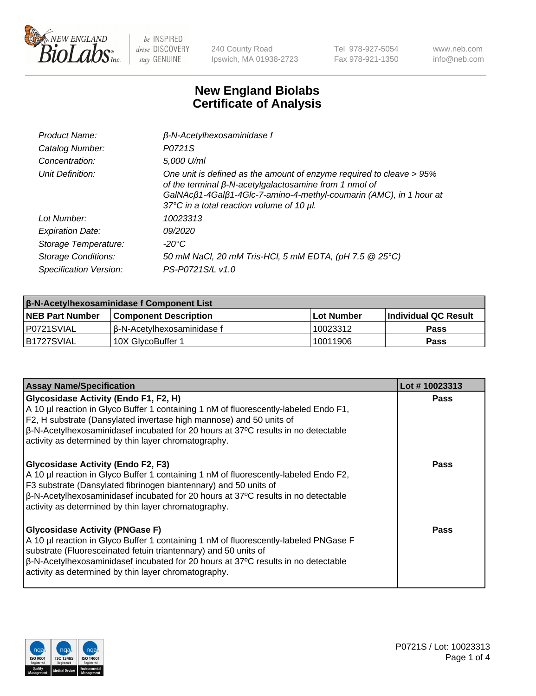

240 County Road Ipswich, MA 01938-2723 Tel 978-927-5054 Fax 978-921-1350 www.neb.com info@neb.com

## **New England Biolabs Certificate of Analysis**

| Product Name:           | $\beta$ -N-Acetylhexosaminidase f                                                                                                                                                                                                                        |
|-------------------------|----------------------------------------------------------------------------------------------------------------------------------------------------------------------------------------------------------------------------------------------------------|
| Catalog Number:         | P0721S                                                                                                                                                                                                                                                   |
| Concentration:          | 5,000 U/ml                                                                                                                                                                                                                                               |
| Unit Definition:        | One unit is defined as the amount of enzyme required to cleave > 95%<br>of the terminal $\beta$ -N-acetylgalactosamine from 1 nmol of<br>GalNAcß1-4Galß1-4Glc-7-amino-4-methyl-coumarin (AMC), in 1 hour at<br>37°C in a total reaction volume of 10 µl. |
| Lot Number:             | 10023313                                                                                                                                                                                                                                                 |
| <b>Expiration Date:</b> | 09/2020                                                                                                                                                                                                                                                  |
| Storage Temperature:    | -20°C                                                                                                                                                                                                                                                    |
| Storage Conditions:     | 50 mM NaCl, 20 mM Tris-HCl, 5 mM EDTA, (pH 7.5 @ 25°C)                                                                                                                                                                                                   |
| Specification Version:  | PS-P0721S/L v1.0                                                                                                                                                                                                                                         |

| <b>β-N-Acetylhexosaminidase f Component List</b> |                              |            |                      |  |
|--------------------------------------------------|------------------------------|------------|----------------------|--|
| <b>NEB Part Number</b>                           | <b>Component Description</b> | Lot Number | Individual QC Result |  |
| IP0721SVIAL                                      | Iß-N-Acetvlhexosaminidase f  | 10023312   | <b>Pass</b>          |  |
| B1727SVIAL                                       | 10X GlvcoBuffer 1            | 10011906   | <b>Pass</b>          |  |

| <b>Assay Name/Specification</b>                                                                                                                                                                                                                                                                                                                                 | Lot #10023313 |
|-----------------------------------------------------------------------------------------------------------------------------------------------------------------------------------------------------------------------------------------------------------------------------------------------------------------------------------------------------------------|---------------|
| <b>Glycosidase Activity (Endo F1, F2, H)</b><br>A 10 µl reaction in Glyco Buffer 1 containing 1 nM of fluorescently-labeled Endo F1,<br>F2, H substrate (Dansylated invertase high mannose) and 50 units of<br>$\beta$ -N-Acetylhexosaminidasef incubated for 20 hours at 37°C results in no detectable<br>activity as determined by thin layer chromatography. | <b>Pass</b>   |
| <b>Glycosidase Activity (Endo F2, F3)</b><br>A 10 µl reaction in Glyco Buffer 1 containing 1 nM of fluorescently-labeled Endo F2,<br>F3 substrate (Dansylated fibrinogen biantennary) and 50 units of<br> β-N-Acetylhexosaminidasef incubated for 20 hours at 37°C results in no detectable<br>activity as determined by thin layer chromatography.             | Pass          |
| <b>Glycosidase Activity (PNGase F)</b><br>A 10 µl reaction in Glyco Buffer 1 containing 1 nM of fluorescently-labeled PNGase F<br>substrate (Fluoresceinated fetuin triantennary) and 50 units of<br>$\beta$ -N-Acetylhexosaminidasef incubated for 20 hours at 37°C results in no detectable<br>activity as determined by thin layer chromatography.           | Pass          |

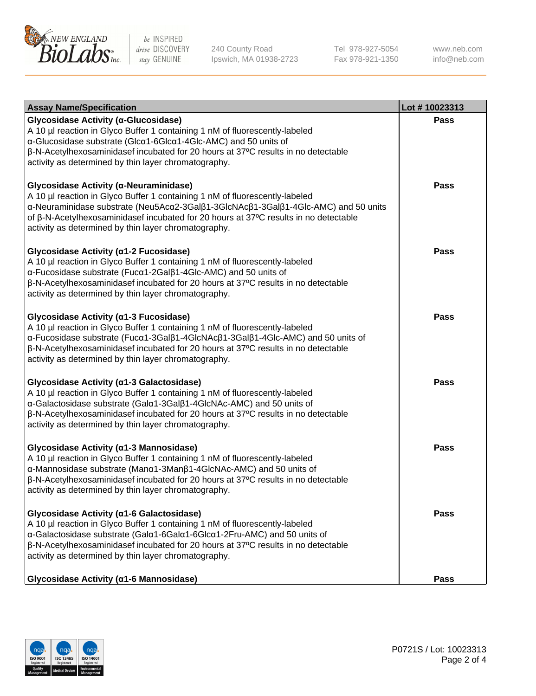

240 County Road Ipswich, MA 01938-2723 Tel 978-927-5054 Fax 978-921-1350 www.neb.com info@neb.com

| <b>Assay Name/Specification</b>                                                                                                                                                                                                                                                                                                                                | Lot #10023313 |
|----------------------------------------------------------------------------------------------------------------------------------------------------------------------------------------------------------------------------------------------------------------------------------------------------------------------------------------------------------------|---------------|
| Glycosidase Activity (α-Glucosidase)<br>A 10 µl reaction in Glyco Buffer 1 containing 1 nM of fluorescently-labeled<br>α-Glucosidase substrate (Glcα1-6Glcα1-4Glc-AMC) and 50 units of<br>β-N-Acetylhexosaminidasef incubated for 20 hours at 37°C results in no detectable<br>activity as determined by thin layer chromatography.                            | Pass          |
| Glycosidase Activity (α-Neuraminidase)<br>A 10 µl reaction in Glyco Buffer 1 containing 1 nM of fluorescently-labeled<br>α-Neuraminidase substrate (Neu5Acα2-3Galβ1-3GlcNAcβ1-3Galβ1-4Glc-AMC) and 50 units<br>of β-N-Acetylhexosaminidasef incubated for 20 hours at 37°C results in no detectable<br>activity as determined by thin layer chromatography.    | <b>Pass</b>   |
| Glycosidase Activity (α1-2 Fucosidase)<br>A 10 µl reaction in Glyco Buffer 1 containing 1 nM of fluorescently-labeled<br>α-Fucosidase substrate (Fucα1-2Galβ1-4Glc-AMC) and 50 units of<br>β-N-Acetylhexosaminidasef incubated for 20 hours at 37°C results in no detectable<br>activity as determined by thin layer chromatography.                           | <b>Pass</b>   |
| Glycosidase Activity (α1-3 Fucosidase)<br>A 10 µl reaction in Glyco Buffer 1 containing 1 nM of fluorescently-labeled<br>α-Fucosidase substrate (Fucα1-3Galβ1-4GlcNAcβ1-3Galβ1-4Glc-AMC) and 50 units of<br>β-N-Acetylhexosaminidasef incubated for 20 hours at 37°C results in no detectable<br>activity as determined by thin layer chromatography.          | Pass          |
| Glycosidase Activity (a1-3 Galactosidase)<br>A 10 µl reaction in Glyco Buffer 1 containing 1 nM of fluorescently-labeled<br>α-Galactosidase substrate (Galα1-3Galβ1-4GlcNAc-AMC) and 50 units of<br>$\beta$ -N-Acetylhexosaminidasef incubated for 20 hours at 37 $\degree$ C results in no detectable<br>activity as determined by thin layer chromatography. | <b>Pass</b>   |
| Glycosidase Activity (α1-3 Mannosidase)<br>A 10 µl reaction in Glyco Buffer 1 containing 1 nM of fluorescently-labeled<br>α-Mannosidase substrate (Manα1-3Manβ1-4GlcNAc-AMC) and 50 units of<br>β-N-Acetylhexosaminidasef incubated for 20 hours at 37°C results in no detectable<br>activity as determined by thin layer chromatography.                      | <b>Pass</b>   |
| Glycosidase Activity (α1-6 Galactosidase)<br>A 10 µl reaction in Glyco Buffer 1 containing 1 nM of fluorescently-labeled<br>α-Galactosidase substrate (Galα1-6Galα1-6Glcα1-2Fru-AMC) and 50 units of<br>β-N-Acetylhexosaminidasef incubated for 20 hours at 37°C results in no detectable<br>activity as determined by thin layer chromatography.              | Pass          |
| Glycosidase Activity (α1-6 Mannosidase)                                                                                                                                                                                                                                                                                                                        | <b>Pass</b>   |

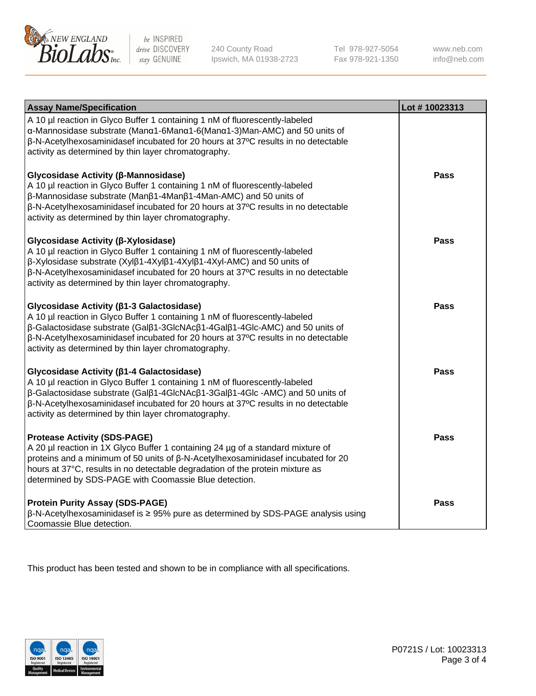

240 County Road Ipswich, MA 01938-2723 Tel 978-927-5054 Fax 978-921-1350 www.neb.com info@neb.com

| <b>Assay Name/Specification</b>                                                                                                                                                                                                                                                                                                                             | Lot #10023313 |
|-------------------------------------------------------------------------------------------------------------------------------------------------------------------------------------------------------------------------------------------------------------------------------------------------------------------------------------------------------------|---------------|
| A 10 µl reaction in Glyco Buffer 1 containing 1 nM of fluorescently-labeled<br>α-Mannosidase substrate (Manα1-6Manα1-6(Manα1-3)Man-AMC) and 50 units of<br>β-N-Acetylhexosaminidasef incubated for 20 hours at 37°C results in no detectable<br>activity as determined by thin layer chromatography.                                                        |               |
| Glycosidase Activity (β-Mannosidase)<br>A 10 µl reaction in Glyco Buffer 1 containing 1 nM of fluorescently-labeled<br>β-Mannosidase substrate (Manβ1-4Manβ1-4Man-AMC) and 50 units of<br>β-N-Acetylhexosaminidasef incubated for 20 hours at 37°C results in no detectable<br>activity as determined by thin layer chromatography.                         | <b>Pass</b>   |
| Glycosidase Activity (β-Xylosidase)<br>A 10 µl reaction in Glyco Buffer 1 containing 1 nM of fluorescently-labeled<br>β-Xylosidase substrate (Xylβ1-4Xylβ1-4Xylβ1-4Xyl-AMC) and 50 units of<br>β-N-Acetylhexosaminidasef incubated for 20 hours at 37°C results in no detectable<br>activity as determined by thin layer chromatography.                    | <b>Pass</b>   |
| Glycosidase Activity (β1-3 Galactosidase)<br>A 10 µl reaction in Glyco Buffer 1 containing 1 nM of fluorescently-labeled<br>β-Galactosidase substrate (Galβ1-3GlcNAcβ1-4Galβ1-4Glc-AMC) and 50 units of<br>β-N-Acetylhexosaminidasef incubated for 20 hours at 37°C results in no detectable<br>activity as determined by thin layer chromatography.        | <b>Pass</b>   |
| Glycosidase Activity (β1-4 Galactosidase)<br>A 10 µl reaction in Glyco Buffer 1 containing 1 nM of fluorescently-labeled<br>β-Galactosidase substrate (Galβ1-4GlcNAcβ1-3Galβ1-4Glc-AMC) and 50 units of<br>β-N-Acetylhexosaminidasef incubated for 20 hours at 37°C results in no detectable<br>activity as determined by thin layer chromatography.        | <b>Pass</b>   |
| <b>Protease Activity (SDS-PAGE)</b><br>A 20 µl reaction in 1X Glyco Buffer 1 containing 24 µg of a standard mixture of<br>proteins and a minimum of 50 units of $\beta$ -N-Acetylhexosaminidasef incubated for 20<br>hours at 37°C, results in no detectable degradation of the protein mixture as<br>determined by SDS-PAGE with Coomassie Blue detection. | Pass          |
| <b>Protein Purity Assay (SDS-PAGE)</b><br>$\beta$ -N-Acetylhexosaminidasef is $\geq$ 95% pure as determined by SDS-PAGE analysis using<br>Coomassie Blue detection.                                                                                                                                                                                         | <b>Pass</b>   |

This product has been tested and shown to be in compliance with all specifications.